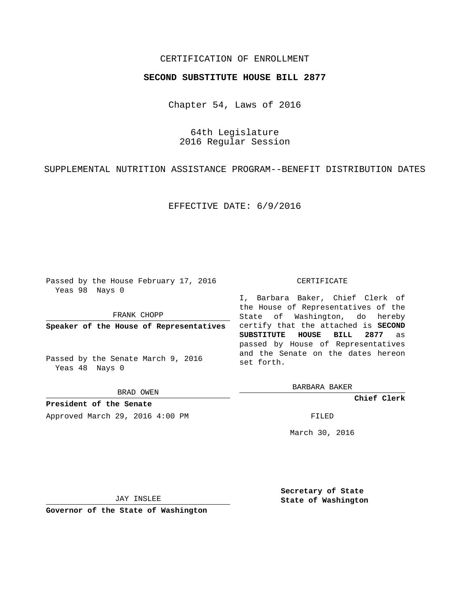## CERTIFICATION OF ENROLLMENT

## **SECOND SUBSTITUTE HOUSE BILL 2877**

Chapter 54, Laws of 2016

64th Legislature 2016 Regular Session

SUPPLEMENTAL NUTRITION ASSISTANCE PROGRAM--BENEFIT DISTRIBUTION DATES

EFFECTIVE DATE: 6/9/2016

Passed by the House February 17, 2016 Yeas 98 Nays 0

FRANK CHOPP

**Speaker of the House of Representatives**

Passed by the Senate March 9, 2016 Yeas 48 Nays 0

BRAD OWEN

**President of the Senate** Approved March 29, 2016 4:00 PM FILED

## CERTIFICATE

I, Barbara Baker, Chief Clerk of the House of Representatives of the State of Washington, do hereby certify that the attached is **SECOND SUBSTITUTE HOUSE BILL 2877** as passed by House of Representatives and the Senate on the dates hereon set forth.

BARBARA BAKER

**Chief Clerk**

March 30, 2016

JAY INSLEE

**Governor of the State of Washington**

**Secretary of State State of Washington**